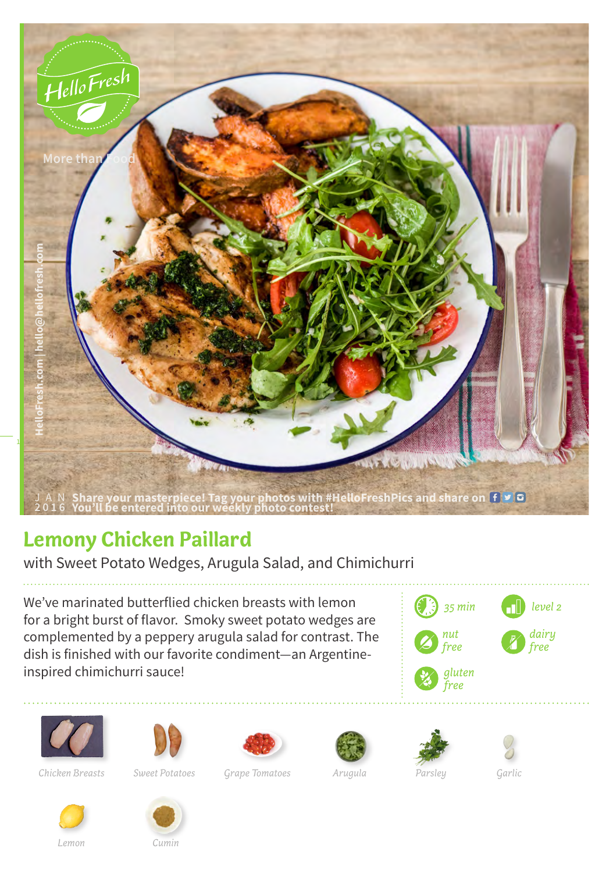

## **Lemony Chicken Paillard**

with Sweet Potato Wedges, Arugula Salad, and Chimichurri

We've marinated butterflied chicken breasts with lemon for a bright burst of flavor. Smoky sweet potato wedges are complemented by a peppery arugula salad for contrast. The dish is finished with our favorite condiment—an Argentineinspired chimichurri sauce!















*Sweet Potatoes Grape Tomatoes Arugula Chicken Breasts Parsley*

*Garlic*